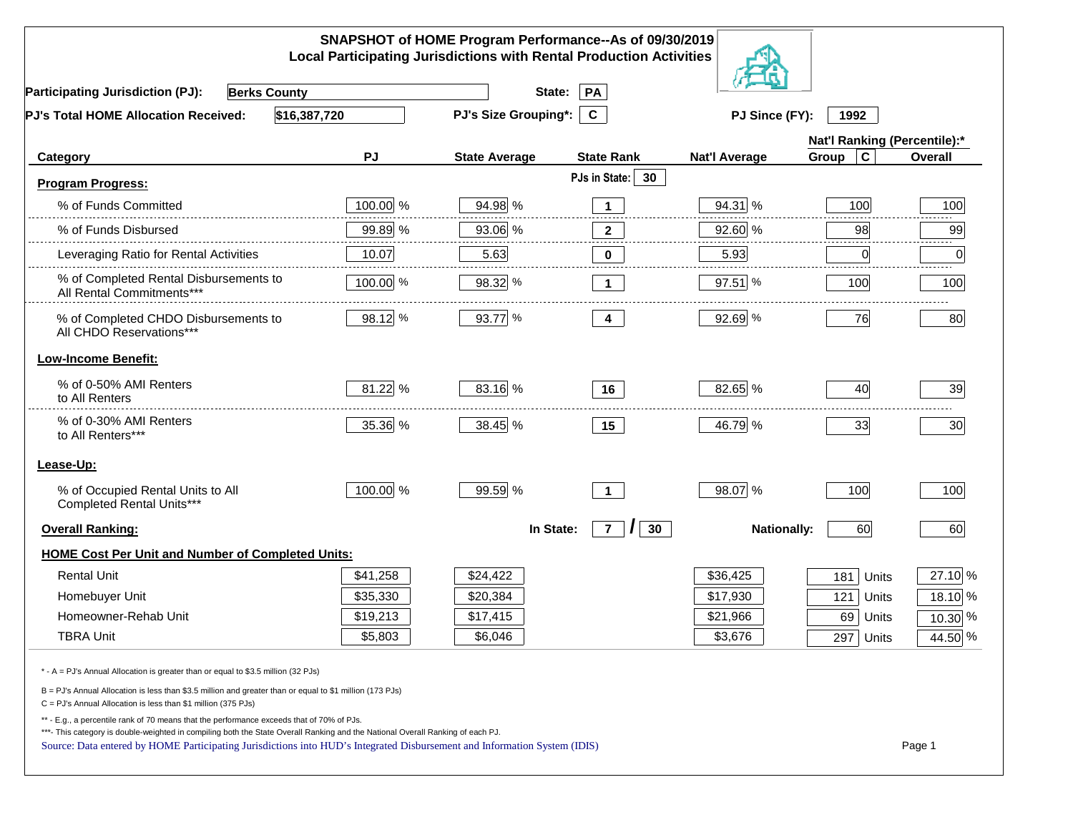| SNAPSHOT of HOME Program Performance--As of 09/30/2019<br><b>Local Participating Jurisdictions with Rental Production Activities</b>                                                                                                                                                                                                                     |          |                             |                                               |                      |                              |             |  |
|----------------------------------------------------------------------------------------------------------------------------------------------------------------------------------------------------------------------------------------------------------------------------------------------------------------------------------------------------------|----------|-----------------------------|-----------------------------------------------|----------------------|------------------------------|-------------|--|
| <b>Participating Jurisdiction (PJ):</b><br><b>Berks County</b>                                                                                                                                                                                                                                                                                           |          | State:                      | PA                                            |                      |                              |             |  |
| \$16,387,720<br>PJ's Total HOME Allocation Received:                                                                                                                                                                                                                                                                                                     |          | <b>PJ's Size Grouping*:</b> | $\mathbf{C}$                                  | PJ Since (FY):       | 1992                         |             |  |
|                                                                                                                                                                                                                                                                                                                                                          |          |                             |                                               |                      | Nat'l Ranking (Percentile):* |             |  |
| Category                                                                                                                                                                                                                                                                                                                                                 | PJ       | <b>State Average</b>        | <b>State Rank</b>                             | <b>Nat'l Average</b> | $\mathbf c$<br>Group         | Overall     |  |
| <b>Program Progress:</b>                                                                                                                                                                                                                                                                                                                                 |          |                             | PJs in State: 30                              |                      |                              |             |  |
| % of Funds Committed                                                                                                                                                                                                                                                                                                                                     | 100.00 % | 94.98 %                     | $\mathbf 1$                                   | 94.31 %              | 100                          | 100         |  |
| % of Funds Disbursed                                                                                                                                                                                                                                                                                                                                     | 99.89 %  | 93.06 %                     | $\mathbf{2}$                                  | 92.60 %              | 98                           | 99          |  |
| Leveraging Ratio for Rental Activities                                                                                                                                                                                                                                                                                                                   | 10.07    | 5.63                        | 0                                             | 5.93                 | 0                            | ------<br>0 |  |
| % of Completed Rental Disbursements to<br>All Rental Commitments***                                                                                                                                                                                                                                                                                      | 100.00 % | 98.32 %                     | $\mathbf 1$                                   | 97.51 %              | 100                          | 100         |  |
| % of Completed CHDO Disbursements to<br>All CHDO Reservations***                                                                                                                                                                                                                                                                                         | 98.12 %  | 93.77 %                     | 4                                             | 92.69 %              | 76                           | 80          |  |
| <b>Low-Income Benefit:</b>                                                                                                                                                                                                                                                                                                                               |          |                             |                                               |                      |                              |             |  |
| % of 0-50% AMI Renters<br>to All Renters                                                                                                                                                                                                                                                                                                                 | 81.22 %  | 83.16 %                     | 16                                            | 82.65 %              | 40                           | 39          |  |
| % of 0-30% AMI Renters<br>to All Renters***                                                                                                                                                                                                                                                                                                              | 35.36 %  | 38.45 %                     | 15                                            | 46.79 %              | 33                           | 30          |  |
| Lease-Up:                                                                                                                                                                                                                                                                                                                                                |          |                             |                                               |                      |                              |             |  |
| % of Occupied Rental Units to All<br>Completed Rental Units***                                                                                                                                                                                                                                                                                           | 100.00 % | 99.59 %                     | $\overline{1}$                                | 98.07 %              | 100                          | 100         |  |
| <b>Overall Ranking:</b>                                                                                                                                                                                                                                                                                                                                  |          | In State:                   | $\overline{7}$<br>30 <sub>o</sub><br>$\prime$ | <b>Nationally:</b>   | 60                           | 60          |  |
| <b>HOME Cost Per Unit and Number of Completed Units:</b>                                                                                                                                                                                                                                                                                                 |          |                             |                                               |                      |                              |             |  |
| <b>Rental Unit</b>                                                                                                                                                                                                                                                                                                                                       | \$41,258 | \$24,422                    |                                               | \$36,425             | 181<br>Units                 | 27.10 %     |  |
| Homebuyer Unit                                                                                                                                                                                                                                                                                                                                           | \$35,330 | \$20,384                    |                                               | \$17,930             | 121<br>Units                 | 18.10 %     |  |
| Homeowner-Rehab Unit                                                                                                                                                                                                                                                                                                                                     | \$19,213 | \$17,415                    |                                               | \$21,966             | 69 Units                     | 10.30 %     |  |
| <b>TBRA Unit</b>                                                                                                                                                                                                                                                                                                                                         | \$5,803  | \$6,046                     |                                               | \$3,676              | 297 Units                    | 44.50 %     |  |
| * - A = PJ's Annual Allocation is greater than or equal to \$3.5 million (32 PJs)                                                                                                                                                                                                                                                                        |          |                             |                                               |                      |                              |             |  |
| B = PJ's Annual Allocation is less than \$3.5 million and greater than or equal to \$1 million (173 PJs)<br>$C = PJ's$ Annual Allocation is less than \$1 million (375 PJs)                                                                                                                                                                              |          |                             |                                               |                      |                              |             |  |
| ** - E.g., a percentile rank of 70 means that the performance exceeds that of 70% of PJs.<br>***- This category is double-weighted in compiling both the State Overall Ranking and the National Overall Ranking of each PJ.<br>Source: Data entered by HOME Participating Jurisdictions into HUD's Integrated Disbursement and Information System (IDIS) |          |                             |                                               |                      |                              | Page 1      |  |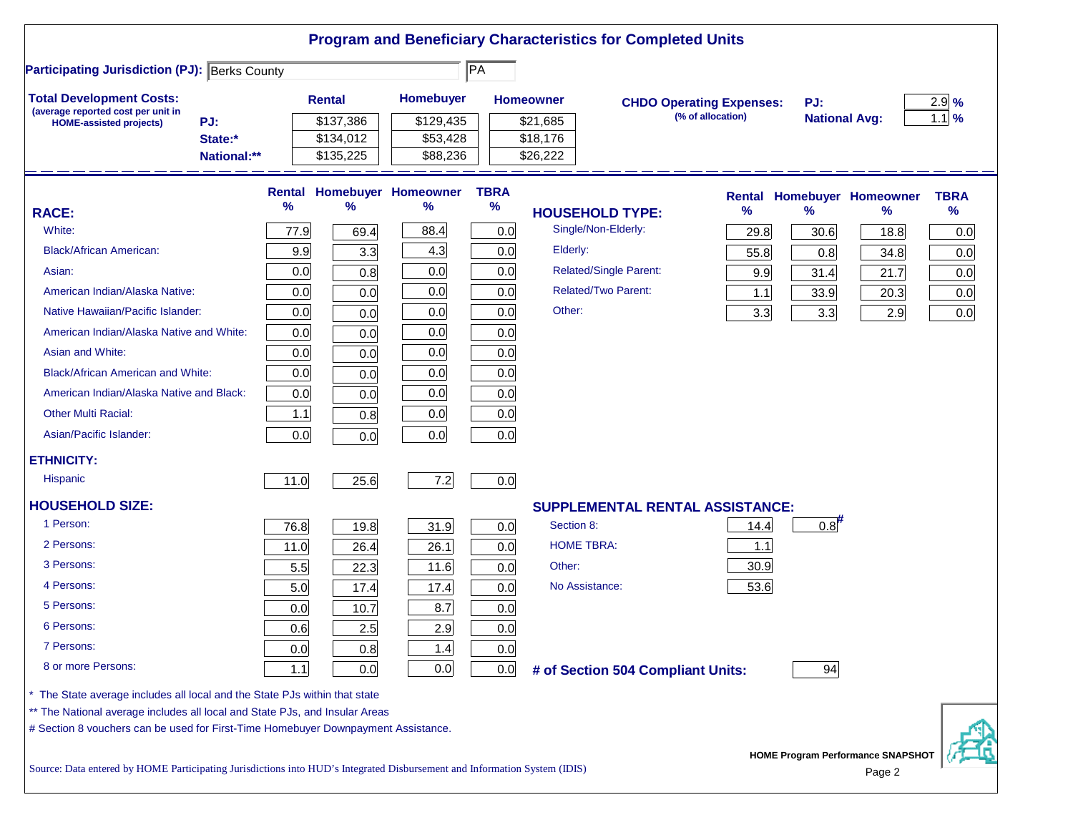|                                                                                                                                                                                                                                              |        |                            |                                 |                     | <b>Program and Beneficiary Characteristics for Completed Units</b> |                                                      |                    |                             |                                                    |                    |
|----------------------------------------------------------------------------------------------------------------------------------------------------------------------------------------------------------------------------------------------|--------|----------------------------|---------------------------------|---------------------|--------------------------------------------------------------------|------------------------------------------------------|--------------------|-----------------------------|----------------------------------------------------|--------------------|
| <b>Participating Jurisdiction (PJ): Berks County</b>                                                                                                                                                                                         |        |                            |                                 | $\overline{PA}$     |                                                                    |                                                      |                    |                             |                                                    |                    |
| <b>Total Development Costs:</b><br>(average reported cost per unit in<br>PJ:<br><b>HOME-assisted projects)</b>                                                                                                                               |        | <b>Rental</b><br>\$137,386 | Homebuyer<br>\$129,435          |                     | <b>Homeowner</b><br>\$21,685                                       | <b>CHDO Operating Expenses:</b><br>(% of allocation) |                    | PJ:<br><b>National Avg:</b> |                                                    | $2.9\%$<br>$1.1$ % |
| State:*<br>National:**                                                                                                                                                                                                                       |        | \$134,012<br>\$135,225     | \$53,428<br>\$88,236            |                     | \$18,176<br>\$26,222                                               |                                                      |                    |                             |                                                    |                    |
|                                                                                                                                                                                                                                              | %      | %                          | Rental Homebuyer Homeowner<br>% | <b>TBRA</b><br>$\%$ |                                                                    |                                                      | <b>Rental</b><br>% | $\frac{9}{6}$               | <b>Homebuyer Homeowner</b><br>℅                    | <b>TBRA</b><br>%   |
| <b>RACE:</b><br>White:                                                                                                                                                                                                                       | 77.9   |                            | 88.4                            | 0.0                 | <b>HOUSEHOLD TYPE:</b><br>Single/Non-Elderly:                      |                                                      |                    |                             |                                                    |                    |
| <b>Black/African American:</b>                                                                                                                                                                                                               | 9.9    | 69.4                       | 4.3                             | 0.0                 | Elderly:                                                           |                                                      | 29.8               | 30.6                        | 18.8                                               | 0.0                |
| Asian:                                                                                                                                                                                                                                       | 0.0    | 3.3<br>0.8                 | 0.0                             | 0.0                 | <b>Related/Single Parent:</b>                                      |                                                      | 55.8               | 0.8                         | 34.8                                               | 0.0                |
| American Indian/Alaska Native:                                                                                                                                                                                                               | 0.0    | 0.0                        | 0.0                             | 0.0                 | <b>Related/Two Parent:</b>                                         |                                                      | 9.9<br>1.1         | 31.4<br>33.9                | 21.7<br>20.3                                       | 0.0<br>0.0         |
| Native Hawaiian/Pacific Islander:                                                                                                                                                                                                            | 0.0    | 0.0                        | 0.0                             | 0.0                 | Other:                                                             |                                                      | 3.3                | 3.3                         | 2.9                                                | 0.0                |
| American Indian/Alaska Native and White:                                                                                                                                                                                                     | 0.0    | 0.0                        | 0.0                             | 0.0                 |                                                                    |                                                      |                    |                             |                                                    |                    |
| Asian and White:                                                                                                                                                                                                                             | 0.0    | 0.0                        | 0.0                             | 0.0                 |                                                                    |                                                      |                    |                             |                                                    |                    |
| <b>Black/African American and White:</b>                                                                                                                                                                                                     | 0.0    | 0.0                        | 0.0                             | 0.0                 |                                                                    |                                                      |                    |                             |                                                    |                    |
| American Indian/Alaska Native and Black:                                                                                                                                                                                                     | 0.0    | 0.0                        | 0.0                             | 0.0                 |                                                                    |                                                      |                    |                             |                                                    |                    |
| <b>Other Multi Racial:</b>                                                                                                                                                                                                                   | $1.1$  | 0.8                        | 0.0                             | 0.0                 |                                                                    |                                                      |                    |                             |                                                    |                    |
| Asian/Pacific Islander:                                                                                                                                                                                                                      | 0.0    | 0.0                        | 0.0                             | 0.0                 |                                                                    |                                                      |                    |                             |                                                    |                    |
| <b>ETHNICITY:</b>                                                                                                                                                                                                                            |        |                            |                                 |                     |                                                                    |                                                      |                    |                             |                                                    |                    |
| <b>Hispanic</b>                                                                                                                                                                                                                              | 11.0   | 25.6                       | 7.2                             | 0.0                 |                                                                    |                                                      |                    |                             |                                                    |                    |
| <b>HOUSEHOLD SIZE:</b>                                                                                                                                                                                                                       |        |                            |                                 |                     | SUPPLEMENTAL RENTAL ASSISTANCE:                                    |                                                      |                    |                             |                                                    |                    |
| 1 Person:                                                                                                                                                                                                                                    | 76.8   | 19.8                       | 31.9                            | 0.0                 | Section 8:                                                         |                                                      | 14.4               | 0.8                         |                                                    |                    |
| 2 Persons:                                                                                                                                                                                                                                   | $11.0$ | 26.4                       | 26.1                            | 0.0                 | <b>HOME TBRA:</b>                                                  |                                                      | 1.1                |                             |                                                    |                    |
| 3 Persons:                                                                                                                                                                                                                                   | 5.5    | 22.3                       | 11.6                            | 0.0                 | Other:                                                             |                                                      | 30.9               |                             |                                                    |                    |
| 4 Persons:                                                                                                                                                                                                                                   | 5.0    | 17.4                       | 17.4                            | 0.0                 | No Assistance:                                                     |                                                      | 53.6               |                             |                                                    |                    |
| 5 Persons:                                                                                                                                                                                                                                   | 0.0    | 10.7                       | 8.7                             | 0.0                 |                                                                    |                                                      |                    |                             |                                                    |                    |
| 6 Persons:                                                                                                                                                                                                                                   | 0.6    | 2.5                        | 2.9                             | 0.0                 |                                                                    |                                                      |                    |                             |                                                    |                    |
| 7 Persons:                                                                                                                                                                                                                                   | 0.0    | 0.8                        | 1.4                             | 0.0                 |                                                                    |                                                      |                    |                             |                                                    |                    |
| 8 or more Persons:                                                                                                                                                                                                                           | 1.1    | 0.0                        | 0.0                             | 0.0                 | # of Section 504 Compliant Units:                                  |                                                      |                    | 94                          |                                                    |                    |
| The State average includes all local and the State PJs within that state<br>** The National average includes all local and State PJs, and Insular Areas<br># Section 8 vouchers can be used for First-Time Homebuyer Downpayment Assistance. |        |                            |                                 |                     |                                                                    |                                                      |                    |                             |                                                    |                    |
| Source: Data entered by HOME Participating Jurisdictions into HUD's Integrated Disbursement and Information System (IDIS)                                                                                                                    |        |                            |                                 |                     |                                                                    |                                                      |                    |                             | <b>HOME Program Performance SNAPSHOT</b><br>Page 2 |                    |